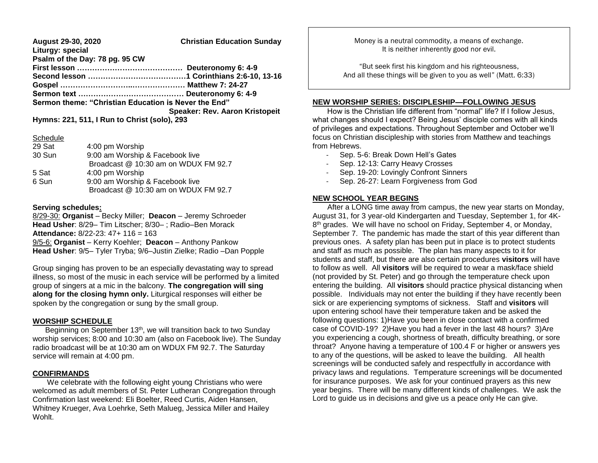**August 29-30, 2020 Christian Education Sunday Liturgy: special Psalm of the Day: 78 pg. 95 CW First lesson …………………………………… Deuteronomy 6: 4-9 Second lesson …………………………………1 Corinthians 2:6-10, 13-16 Gospel ………………………..………………… Matthew 7: 24-27 Sermon text …………………………………… Deuteronomy 6: 4-9 Sermon theme: "Christian Education is Never the End" Speaker: Rev. Aaron Kristopeit**

**Hymns: 221, 511, I Run to Christ (solo), 293**

#### **Schedule**

| 29 Sat | 4:00 pm Worship                      |
|--------|--------------------------------------|
| 30 Sun | 9:00 am Worship & Facebook live      |
|        | Broadcast @ 10:30 am on WDUX FM 92.7 |
| 5 Sat  | 4:00 pm Worship                      |
| 6 Sun  | 9:00 am Worship & Facebook live      |
|        | Broadcast @ 10:30 am on WDUX FM 92.7 |

## **Serving schedules:**

8/29-30: **Organist** – Becky Miller; **Deacon** – Jeremy Schroeder **Head Usher**: 8/29– Tim Litscher; 8/30– ; Radio–Ben Morack **Attendance:** 8/22-23: 47+ 116 = 163 9/5-6: **Organist** – Kerry Koehler; **Deacon** – Anthony Pankow **Head Usher**: 9/5– Tyler Tryba; 9/6–Justin Zielke; Radio –Dan Popple

Group singing has proven to be an especially devastating way to spread illness, so most of the music in each service will be performed by a limited group of singers at a mic in the balcony. **The congregation will sing along for the closing hymn only.** Liturgical responses will either be spoken by the congregation or sung by the small group.

### **WORSHIP SCHEDULE**

 Beginning on September 13th, we will transition back to two Sunday worship services; 8:00 and 10:30 am (also on Facebook live). The Sunday radio broadcast will be at 10:30 am on WDUX FM 92.7. The Saturday service will remain at 4:00 pm.

### **CONFIRMANDS**

 We celebrate with the following eight young Christians who were welcomed as adult members of St. Peter Lutheran Congregation through Confirmation last weekend: Eli Boelter, Reed Curtis, Aiden Hansen, Whitney Krueger, Ava Loehrke, Seth Malueg, Jessica Miller and Hailey Wohlt.

Money is a neutral commodity, a means of exchange. It is neither inherently good nor evil.

"But seek first his kingdom and his righteousness, And all these things will be given to you as well" (Matt. 6:33)

#### **NEW WORSHIP SERIES: DISCIPLESHIP—FOLLOWING JESUS**

 How is the Christian life different from "normal" life? If I follow Jesus, what changes should I expect? Being Jesus' disciple comes with all kinds of privileges and expectations. Throughout September and October we'll focus on Christian discipleship with stories from Matthew and teachings from Hebrews.

- Sep. 5-6: Break Down Hell's Gates
- Sep. 12-13: Carry Heavy Crosses
- Sep. 19-20: Lovingly Confront Sinners
- Sep. 26-27: Learn Forgiveness from God

#### **NEW SCHOOL YEAR BEGINS**

 After a LONG time away from campus, the new year starts on Monday, August 31, for 3 year-old Kindergarten and Tuesday, September 1, for 4K-8<sup>th</sup> grades. We will have no school on Friday, September 4, or Monday, September 7. The pandemic has made the start of this year different than previous ones. A safety plan has been put in place is to protect students and staff as much as possible. The plan has many aspects to it for students and staff, but there are also certain procedures **visitors** will have to follow as well. All **visitors** will be required to wear a mask/face shield (not provided by St. Peter) and go through the temperature check upon entering the building. All **visitors** should practice physical distancing when possible. Individuals may not enter the building if they have recently been sick or are experiencing symptoms of sickness. Staff and **visitors** will upon entering school have their temperature taken and be asked the following questions: 1)Have you been in close contact with a confirmed case of COVID-19? 2)Have you had a fever in the last 48 hours? 3)Are you experiencing a cough, shortness of breath, difficulty breathing, or sore throat? Anyone having a temperature of 100.4 F or higher or answers yes to any of the questions, will be asked to leave the building. All health screenings will be conducted safely and respectfully in accordance with privacy laws and regulations. Temperature screenings will be documented for insurance purposes. We ask for your continued prayers as this new year begins. There will be many different kinds of challenges. We ask the Lord to guide us in decisions and give us a peace only He can give.